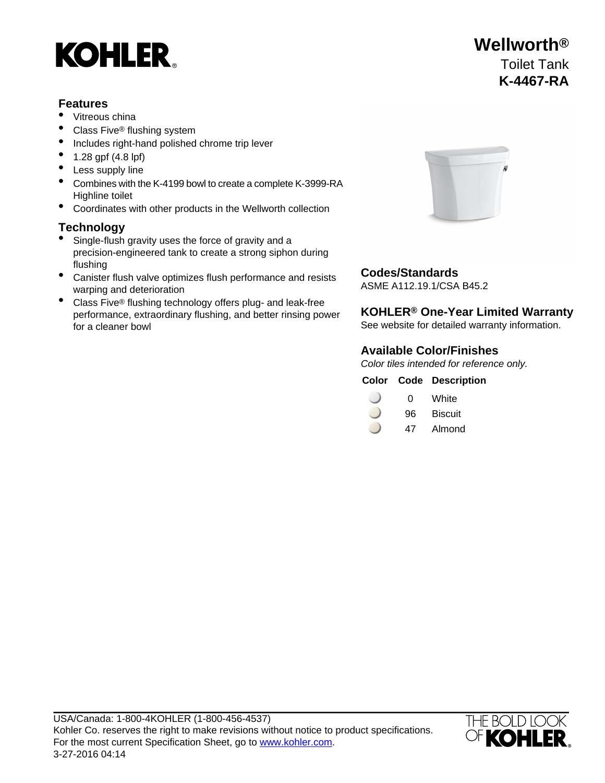

#### **Features**

- Vitreous china
- Class Five® flushing system
- Includes right-hand polished chrome trip lever
- 1.28 gpf (4.8 lpf)
- Less supply line
- Combines with the K-4199 bowl to create a complete K-3999-RA Highline toilet
- Coordinates with other products in the Wellworth collection

#### **Technology**

- Single-flush gravity uses the force of gravity and a precision-engineered tank to create a strong siphon during flushing
- Canister flush valve optimizes flush performance and resists **Codes/Standards**<br>
ASME A112 19 1/CSA B45 2 warping and deterioration
- Class Five<sup>®</sup> flushing technology offers plug- and leak-free performance, extraordinary flushing, and better rinsing power for a cleaner bowl



### **KOHLER® One-Year Limited Warranty**

See website for detailed warranty information.

#### **Available Color/Finishes**

Color tiles intended for reference only.

|  |  | <b>Color Code Description</b> |
|--|--|-------------------------------|
|--|--|-------------------------------|

| 0 | White |
|---|-------|
|   |       |

- 96 Biscuit
- 47 Almond



## **Wellworth®** Toilet Tank **K-4467-RA**